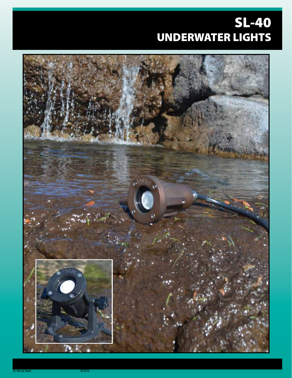# SL-40 UNDERWATER LIGHTS